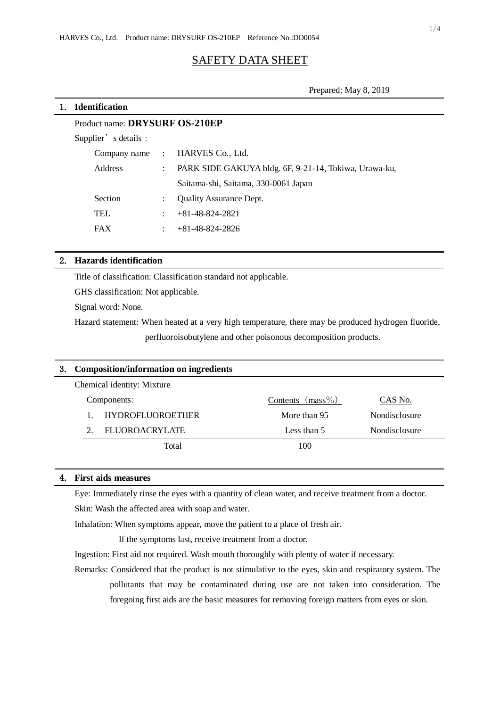# SAFETY DATA SHEET

Prepared: May 8, 2019

| <b>Identification</b>          |               |                      |                                                       |  |  |  |  |  |
|--------------------------------|---------------|----------------------|-------------------------------------------------------|--|--|--|--|--|
| Product name: DRYSURF OS-210EP |               |                      |                                                       |  |  |  |  |  |
| Supplier's details :           |               |                      |                                                       |  |  |  |  |  |
|                                | Company name: |                      | HARVES Co., Ltd.                                      |  |  |  |  |  |
| Address                        |               | $\ddot{\phantom{a}}$ | PARK SIDE GAKUYA bldg. 6F, 9-21-14, Tokiwa, Urawa-ku, |  |  |  |  |  |
|                                |               |                      | Saitama-shi, Saitama, 330-0061 Japan                  |  |  |  |  |  |
| Section                        |               |                      | <b>Quality Assurance Dept.</b>                        |  |  |  |  |  |
| TEL                            |               | ÷.                   | $+81-48-824-2821$                                     |  |  |  |  |  |
| <b>FAX</b>                     |               | ÷.                   | $+81 - 48 - 824 - 2826$                               |  |  |  |  |  |
|                                |               |                      |                                                       |  |  |  |  |  |

### 2. **Hazards identification**

Title of classification: Classification standard not applicable.

GHS classification: Not applicable.

Signal word: None.

Hazard statement: When heated at a very high temperature, there may be produced hydrogen fluoride, perfluoroisobutylene and other poisonous decomposition products.

# 3. **Composition/information on ingredients**

| Chemical identity: Mixture |                         |                     |                      |  |  |  |
|----------------------------|-------------------------|---------------------|----------------------|--|--|--|
|                            | Components:             | Contents $(mass\%)$ | CAS No.              |  |  |  |
|                            | <b>HYDROFLUOROETHER</b> | More than 95        | <b>Nondisclosure</b> |  |  |  |
|                            | FLUOROACRYLATE          | Less than 5         | Nondisclosure        |  |  |  |
|                            | Total                   | 100                 |                      |  |  |  |
|                            |                         |                     |                      |  |  |  |

# 4. **First aids measures**

Eye: Immediately rinse the eyes with a quantity of clean water, and receive treatment from a doctor.

Skin: Wash the affected area with soap and water.

Inhalation: When symptoms appear, move the patient to a place of fresh air.

If the symptoms last, receive treatment from a doctor.

Ingestion: First aid not required. Wash mouth thoroughly with plenty of water if necessary.

Remarks: Considered that the product is not stimulative to the eyes, skin and respiratory system. The pollutants that may be contaminated during use are not taken into consideration. The foregoing first aids are the basic measures for removing foreign matters from eyes or skin.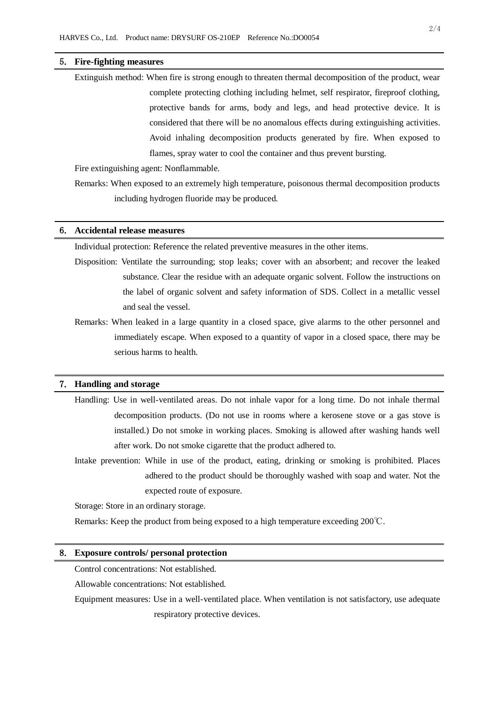#### 5. **Fire-fighting measures**

Extinguish method: When fire is strong enough to threaten thermal decomposition of the product, wear complete protecting clothing including helmet, self respirator, fireproof clothing, protective bands for arms, body and legs, and head protective device. It is considered that there will be no anomalous effects during extinguishing activities. Avoid inhaling decomposition products generated by fire. When exposed to flames, spray water to cool the container and thus prevent bursting.

Fire extinguishing agent: Nonflammable.

Remarks: When exposed to an extremely high temperature, poisonous thermal decomposition products including hydrogen fluoride may be produced.

#### 6. **Accidental release measures**

Individual protection: Reference the related preventive measures in the other items.

Disposition: Ventilate the surrounding; stop leaks; cover with an absorbent; and recover the leaked substance. Clear the residue with an adequate organic solvent. Follow the instructions on the label of organic solvent and safety information of SDS. Collect in a metallic vessel and seal the vessel.

Remarks: When leaked in a large quantity in a closed space, give alarms to the other personnel and immediately escape. When exposed to a quantity of vapor in a closed space, there may be serious harms to health.

### 7. **Handling and storage**

- Handling: Use in well-ventilated areas. Do not inhale vapor for a long time. Do not inhale thermal decomposition products. (Do not use in rooms where a kerosene stove or a gas stove is installed.) Do not smoke in working places. Smoking is allowed after washing hands well after work. Do not smoke cigarette that the product adhered to.
- Intake prevention: While in use of the product, eating, drinking or smoking is prohibited. Places adhered to the product should be thoroughly washed with soap and water. Not the expected route of exposure.

Storage: Store in an ordinary storage.

Remarks: Keep the product from being exposed to a high temperature exceeding 200℃.

#### 8. **Exposure controls/ personal protection**

Control concentrations: Not established.

Allowable concentrations: Not established.

Equipment measures: Use in a well-ventilated place. When ventilation is not satisfactory, use adequate respiratory protective devices.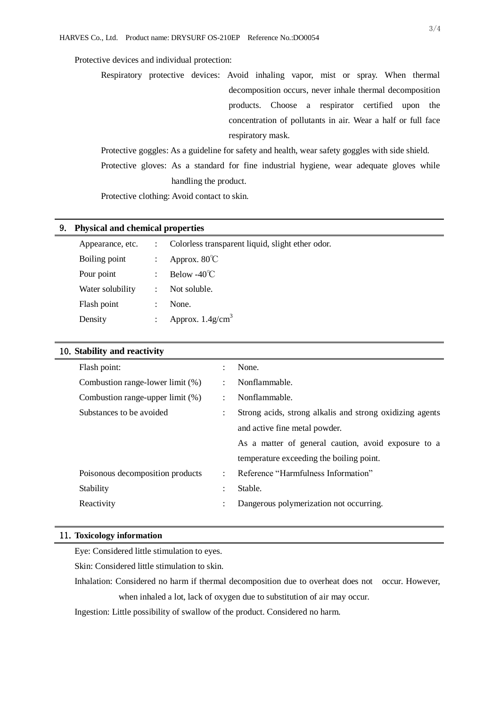# Protective devices and individual protection:

Respiratory protective devices: Avoid inhaling vapor, mist or spray. When thermal decomposition occurs, never inhale thermal decomposition products. Choose a respirator certified upon the concentration of pollutants in air. Wear a half or full face respiratory mask.

Protective goggles: As a guideline for safety and health, wear safety goggles with side shield. Protective gloves: As a standard for fine industrial hygiene, wear adequate gloves while handling the product.

Protective clothing: Avoid contact to skin.

#### 9. **Physical and chemical properties**

| Appearance, etc. | $\mathbb{R}^{\mathbb{Z}}$ | Colorless transparent liquid, slight ether odor. |
|------------------|---------------------------|--------------------------------------------------|
| Boiling point    |                           | Approx. $80^{\circ}$ C                           |
| Pour point       | $\ddot{\phantom{a}}$      | Below $-40^{\circ}$ C                            |
| Water solubility | $\ddot{\phantom{a}}$      | Not soluble.                                     |
| Flash point      | ÷                         | None.                                            |
| Density          |                           | Approx. $1.4$ g/cm <sup>3</sup>                  |

# 10.**Stability and reactivity**

| Flash point:                     | $\ddot{\cdot}$       | None.                                                    |
|----------------------------------|----------------------|----------------------------------------------------------|
| Combustion range-lower limit (%) | $\ddot{\phantom{a}}$ | Nonflammable.                                            |
| Combustion range-upper limit (%) | $\ddot{\phantom{a}}$ | Nonflammable.                                            |
| Substances to be avoided         | $\ddot{\cdot}$       | Strong acids, strong alkalis and strong oxidizing agents |
|                                  |                      | and active fine metal powder.                            |
|                                  |                      | As a matter of general caution, avoid exposure to a      |
|                                  |                      | temperature exceeding the boiling point.                 |
| Poisonous decomposition products | ÷                    | Reference "Harmfulness Information"                      |
| Stability                        | $\ddot{\cdot}$       | Stable.                                                  |
| Reactivity                       | ٠                    | Dangerous polymerization not occurring.                  |
|                                  |                      |                                                          |

### 11.**Toxicology information**

Eye: Considered little stimulation to eyes.

Skin: Considered little stimulation to skin.

Inhalation: Considered no harm if thermal decomposition due to overheat does not occur. However, when inhaled a lot, lack of oxygen due to substitution of air may occur.

Ingestion: Little possibility of swallow of the product. Considered no harm.